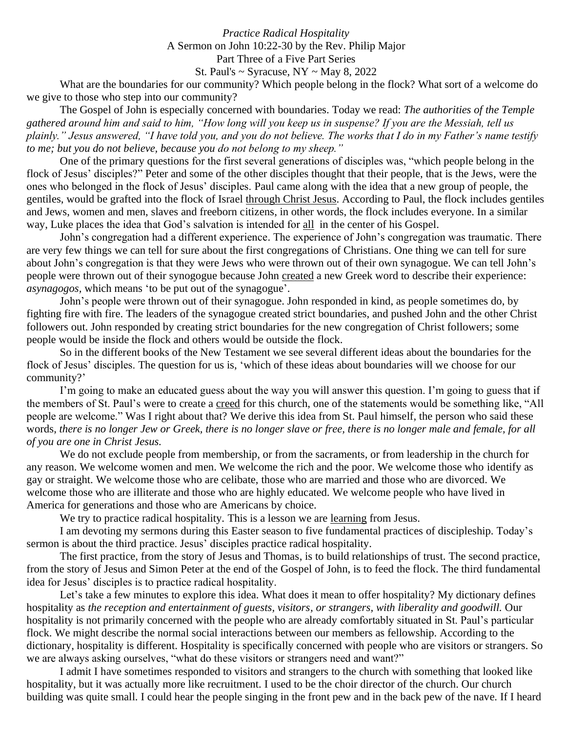## *Practice Radical Hospitality* A Sermon on John 10:22-30 by the Rev. Philip Major Part Three of a Five Part Series

St. Paul's  $\sim$  Syracuse, NY  $\sim$  May 8, 2022

What are the boundaries for our community? Which people belong in the flock? What sort of a welcome do we give to those who step into our community?

The Gospel of John is especially concerned with boundaries. Today we read: *The authorities of the Temple gathered around him and said to him, "How long will you keep us in suspense? If you are the Messiah, tell us plainly." Jesus answered, "I have told you, and you do not believe. The works that I do in my Father's name testify to me; but you do not believe, because you do not belong to my sheep."*

One of the primary questions for the first several generations of disciples was, "which people belong in the flock of Jesus' disciples?" Peter and some of the other disciples thought that their people, that is the Jews, were the ones who belonged in the flock of Jesus' disciples. Paul came along with the idea that a new group of people, the gentiles, would be grafted into the flock of Israel through Christ Jesus. According to Paul, the flock includes gentiles and Jews, women and men, slaves and freeborn citizens, in other words, the flock includes everyone. In a similar way, Luke places the idea that God's salvation is intended for all in the center of his Gospel.

John's congregation had a different experience. The experience of John's congregation was traumatic. There are very few things we can tell for sure about the first congregations of Christians. One thing we can tell for sure about John's congregation is that they were Jews who were thrown out of their own synagogue. We can tell John's people were thrown out of their synogogue because John created a new Greek word to describe their experience: *asynagogos,* which means 'to be put out of the synagogue'.

John's people were thrown out of their synagogue. John responded in kind, as people sometimes do, by fighting fire with fire. The leaders of the synagogue created strict boundaries, and pushed John and the other Christ followers out. John responded by creating strict boundaries for the new congregation of Christ followers; some people would be inside the flock and others would be outside the flock.

So in the different books of the New Testament we see several different ideas about the boundaries for the flock of Jesus' disciples. The question for us is, 'which of these ideas about boundaries will we choose for our community?'

I'm going to make an educated guess about the way you will answer this question. I'm going to guess that if the members of St. Paul's were to create a creed for this church, one of the statements would be something like, "All people are welcome." Was I right about that? We derive this idea from St. Paul himself, the person who said these words, *there is no longer Jew or Greek, there is no longer slave or free, there is no longer male and female, for all of you are one in Christ Jesus.*

We do not exclude people from membership, or from the sacraments, or from leadership in the church for any reason. We welcome women and men. We welcome the rich and the poor. We welcome those who identify as gay or straight. We welcome those who are celibate, those who are married and those who are divorced. We welcome those who are illiterate and those who are highly educated. We welcome people who have lived in America for generations and those who are Americans by choice.

We try to practice radical hospitality. This is a lesson we are learning from Jesus.

I am devoting my sermons during this Easter season to five fundamental practices of discipleship. Today's sermon is about the third practice. Jesus' disciples practice radical hospitality.

The first practice, from the story of Jesus and Thomas, is to build relationships of trust. The second practice, from the story of Jesus and Simon Peter at the end of the Gospel of John, is to feed the flock. The third fundamental idea for Jesus' disciples is to practice radical hospitality.

Let's take a few minutes to explore this idea. What does it mean to offer hospitality? My dictionary defines hospitality as *the reception and entertainment of guests, visitors, or strangers, with liberality and goodwill.* Our hospitality is not primarily concerned with the people who are already comfortably situated in St. Paul's particular flock. We might describe the normal social interactions between our members as fellowship. According to the dictionary, hospitality is different. Hospitality is specifically concerned with people who are visitors or strangers. So we are always asking ourselves, "what do these visitors or strangers need and want?"

I admit I have sometimes responded to visitors and strangers to the church with something that looked like hospitality, but it was actually more like recruitment. I used to be the choir director of the church. Our church building was quite small. I could hear the people singing in the front pew and in the back pew of the nave. If I heard